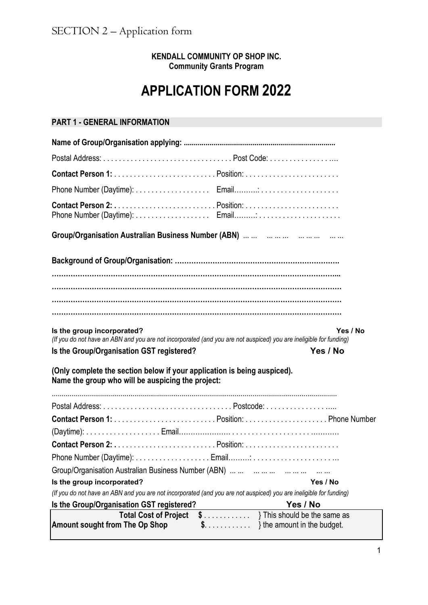## **KENDALL COMMUNITY OP SHOP INC. Community Grants Program**

## **APPLICATION FORM 2022**

## **PART 1 - GENERAL INFORMATION**

| Is the group incorporated?<br>Yes / No<br>(If you do not have an ABN and you are not incorporated (and you are not auspiced) you are ineligible for funding)<br>Is the Group/Organisation GST registered?<br>Yes / No |  |  |  |  |  |  |  |  |
|-----------------------------------------------------------------------------------------------------------------------------------------------------------------------------------------------------------------------|--|--|--|--|--|--|--|--|
| (Only complete the section below if your application is being auspiced).<br>Name the group who will be auspicing the project:                                                                                         |  |  |  |  |  |  |  |  |
|                                                                                                                                                                                                                       |  |  |  |  |  |  |  |  |
|                                                                                                                                                                                                                       |  |  |  |  |  |  |  |  |
|                                                                                                                                                                                                                       |  |  |  |  |  |  |  |  |
|                                                                                                                                                                                                                       |  |  |  |  |  |  |  |  |
| Phone Number (Daytime):  Email:                                                                                                                                                                                       |  |  |  |  |  |  |  |  |
| Group/Organisation Australian Business Number (ABN)                                                                                                                                                                   |  |  |  |  |  |  |  |  |
| Is the group incorporated?<br>Yes / No                                                                                                                                                                                |  |  |  |  |  |  |  |  |
| (If you do not have an ABN and you are not incorporated (and you are not auspiced) you are ineligible for funding)                                                                                                    |  |  |  |  |  |  |  |  |
| Is the Group/Organisation GST registered?<br>Yes / No                                                                                                                                                                 |  |  |  |  |  |  |  |  |
| $\{3, \ldots, \ldots, \ldots\}$ This should be the same as<br><b>Total Cost of Project</b><br><b>Amount sought from The Op Shop</b><br>$\{3, \ldots, \ldots, \ldots\}$ the amount in the budget.                      |  |  |  |  |  |  |  |  |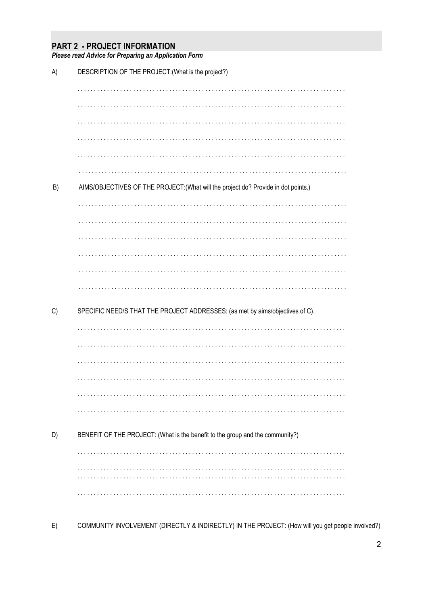## **PART 2 - PROJECT INFORMATION**

Please read Advice for Preparing an Application Form

| A) | DESCRIPTION OF THE PROJECT: (What is the project?)                                 |
|----|------------------------------------------------------------------------------------|
|    |                                                                                    |
|    |                                                                                    |
|    |                                                                                    |
|    |                                                                                    |
|    |                                                                                    |
|    |                                                                                    |
| B) | AIMS/OBJECTIVES OF THE PROJECT: (What will the project do? Provide in dot points.) |
|    |                                                                                    |
|    |                                                                                    |
|    |                                                                                    |
|    |                                                                                    |
|    |                                                                                    |
|    |                                                                                    |
| C) | SPECIFIC NEED/S THAT THE PROJECT ADDRESSES: (as met by aims/objectives of C).      |
|    |                                                                                    |
|    |                                                                                    |
|    |                                                                                    |
|    |                                                                                    |
|    |                                                                                    |
|    |                                                                                    |
| D) | BENEFIT OF THE PROJECT: (What is the benefit to the group and the community?)      |
|    |                                                                                    |
|    |                                                                                    |
|    |                                                                                    |

COMMUNITY INVOLVEMENT (DIRECTLY & INDIRECTLY) IN THE PROJECT: (How will you get people involved?)  $E)$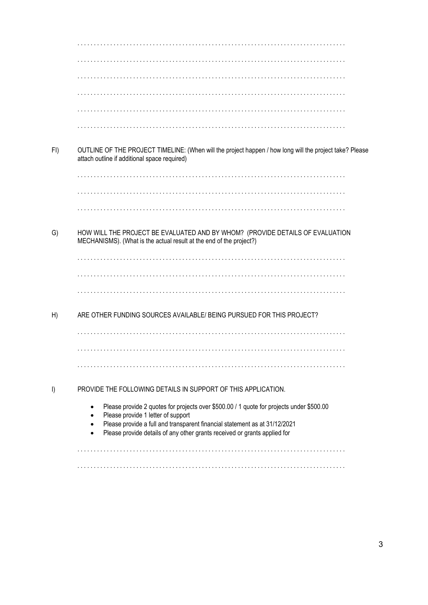$FI)$ OUTLINE OF THE PROJECT TIMELINE: (When will the project happen / how long will the project take? Please attach outline if additional space required)  $G)$ HOW WILL THE PROJECT BE EVALUATED AND BY WHOM? (PROVIDE DETAILS OF EVALUATION MECHANISMS). (What is the actual result at the end of the project?)  $H)$ ARE OTHER FUNDING SOURCES AVAILABLE/ BEING PURSUED FOR THIS PROJECT? PROVIDE THE FOLLOWING DETAILS IN SUPPORT OF THIS APPLICATION.  $\vert$ Please provide 2 quotes for projects over \$500.00 / 1 quote for projects under \$500.00  $\bullet$ Please provide 1 letter of support  $\bullet$ Please provide a full and transparent financial statement as at 31/12/2021  $\bullet$ Please provide details of any other grants received or grants applied for  $\bullet$